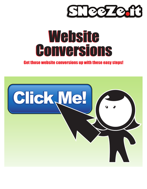STOCTON

# Website Website Conversions Conversions

#### Get those website conversions up with these easy steps!

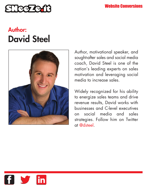

# **Author: David Steel**



Author, motivational speaker, and sought-after sales and social media coach, David Steel is one of the nation's leading experts on sales motivation and leveraging social media to increase sales.

Widely recognized for his ability to energize sales teams and drive revenue results, David works with businesses and C-level executives on social media and sales strategies. Follow him on Twitter at [@dsteel.](https://twitter.com/dsteel)

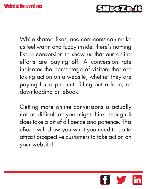

While shares, likes, and comments can make us feel warm and fuzzy inside, there's nothing like a conversion to show us that our online efforts are paying off. A conversion rate indicates the percentage of visitors that are taking action on a website, whether they are paying for a product, filling out a form, or downloading an eBook.

Getting more online conversions is actually not as difficult as you might think, though it does take a bit of diligence and patience. This eBook will show you what you need to do to attract prospective customers to take action on your website!

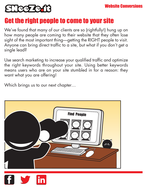

# Get the right people to come to your site

We've found that many of our clients are so (rightfully!) hung up on how many people are coming to their website that they often lose sight of the most important thing—getting the RIGHT people to visit. Anyone can bring direct traffic to a site, but what if you don't get a single lead?

Use search marketing to increase your qualified traffic and optimize the right keywords throughout your site. Using better keywords means users who are on your site stumbled in for a reason: they want what you are offering!

Which brings us to our next chapter…



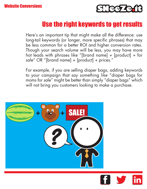

# Use the right keywords to get results

Here's an important tip that might make all the difference: use long-tail keywords (or longer, more specific phrases) that may be less common for a better ROI and higher conversion rates. Though your search volume will be less, you may have more hot leads with phrases like "[brand name] + [product] + for sale" OR "[brand name] + [product] + prices."

For example, if you are selling diaper bags, adding keywords to your campaign that say something like "diaper bags for moms for sale" might be better than simply "diaper bags" which will not bring you customers looking to make a purchase.



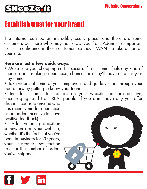

### Establish trust for your brand

The internet can be an incredibly scary place, and there are some customers out there who may not know you from Adam. It's important to instill confidence in those customers so they'll WANT to take action on your site.

#### **Here are just a few quick ways:**

- Make sure your shopping cart is secure. If a customer feels any kind of unease about making a purchase, chances are they'll leave as quickly as they came.
- Take videos of some of your employees and guide visitors through your operations by getting to know your team!

• Include customer testimonials on your website that are positive, encouraging, and from REAL people (if you don't have any yet, offer discount codes to anyone who has recently made a purchase as an added incentive to leave positive feedback).

• Add value proposition somewhere on your website, whether it's the fact that you've been in business for 20 years, your customer satisfaction rate, or the number of orders you've shipped.

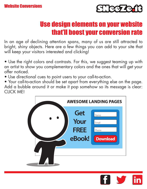

# Use design elements on your website that'll boost your conversion rate

In an age of declining attention spans, many of us are still attracted to bright, shiny objects. Here are a few things you can add to your site that will keep your visitors interested and clicking!

- Use the right colors and contrasts. For this, we suggest teaming up with an artist to show you complementary colors and the ones that will get your offer noticed.
- Use directional cues to point users to your call-to-action.
- Your call-to-action should be set apart from everything else on the page. Add a bubble around it or make it pop somehow so its message is clear: CLICK ME!



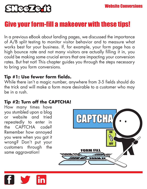

## Give your form-fill a makeover with these tips!

In a previous eBook about landing pages, we discussed the importance of A/B split testing to monitor visitor behavior and to measure what works best for your business. If, for example, your form page has a high bounce rate and not many visitors are actually filling it in, you could be making some crucial errors that are impacting your conversion rates. But fret not! This chapter guides you through the steps necessary to bring you form conversions.

#### **Tip #1: Use fewer form fields.**

While there isn't a magic number, anywhere from 3-5 fields should do the trick and will make a form more desirable to a customer who may be in a rush.

#### **Tip #2: Turn off the CAPTCHA!**

How many times have you stumbled upon a blog or website and tried repeatedly to enter in the CAPTCHA code? Remember how annoyed you were when you got it wrong? Don't put your customers through the same aggravation!



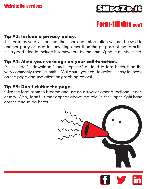

# Form-fill tips con't

#### **Tip #3: Include a privacy policy.**

This ensures your visitors that their personal information will not be sold to another party or used for anything other than the purpose of the form-fill. It's a good idea to include it somewhere by the email/phone number field.

#### **Tip #4: Mind your verbiage on your call-to-action.**

"Click here," "download," and "register" all tend to fare better than the very commonly used "submit." Make sure your call-to-action is easy to locate on the page and use attention-grabbing colors!

#### **Tip #5: Don't clutter the page.**

Give the form room to breathe and use an arrow or other directional if necessary. Also, form-fills that appear above the fold in the upper right-hand corner tend to do better!



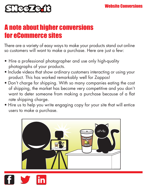

# A note about higher conversions for eCommerce sites

There are a variety of easy ways to make your products stand out online so customers will want to make a purchase. Here are just a few:

- Hire a professional photographer and use only high-quality photographs of your products.
- Include videos that show ordinary customers interacting or using your product. This has worked remarkably well for Zappos!
- Don't charge for shipping. With so many companies eating the cost of shipping, the market has become very competitive and you don't want to deter someone from making a purchase because of a flat rate shipping charge.
- Hire us to help you write engaging copy for your site that will entice users to make a purchase.